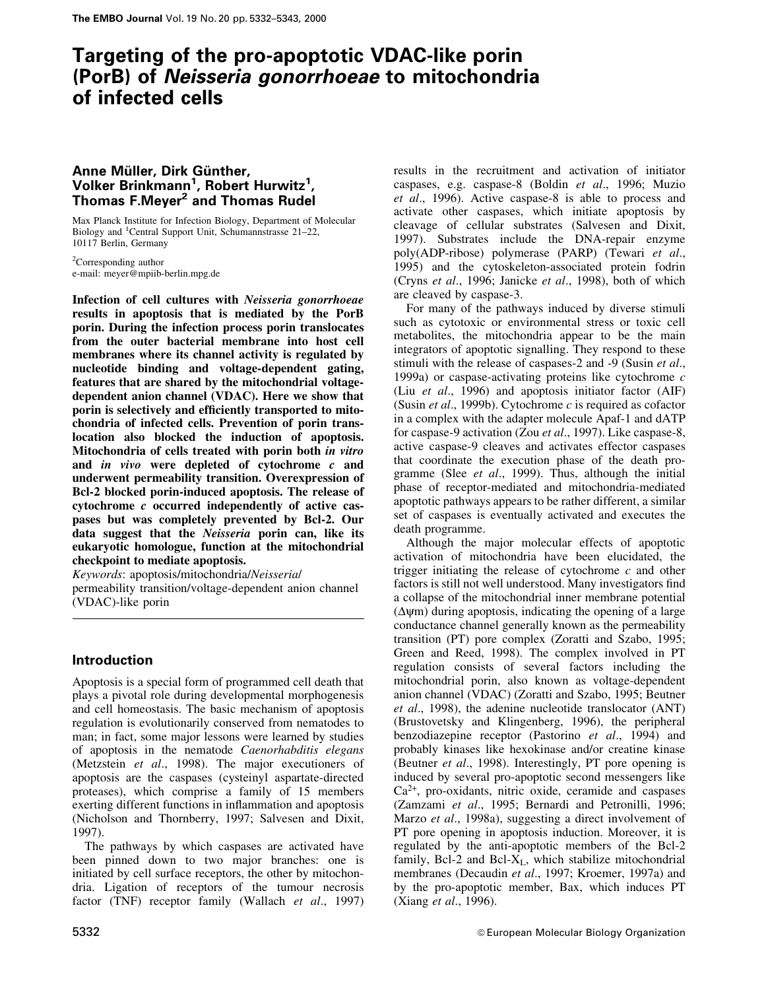# Targeting of the pro-apoptotic VDAC-like porin (PorB) of Neisseria gonorrhoeae to mitochondria of infected cells

## Anne Müller, Dirk Günther, Volker Brinkmann<sup>1</sup>, Robert Hurwitz<sup>1</sup>, Thomas F.Mever<sup>2</sup> and Thomas Rudel

Max Planck Institute for Infection Biology, Department of Molecular Biology and <sup>1</sup>Central Support Unit, Schumannstrasse 21-22, 10117 Berlin, Germany

 ${}^{2}$ Corresponding author e-mail: meyer@mpiib-berlin.mpg.de

Infection of cell cultures with Neisseria gonorrhoeae results in apoptosis that is mediated by the PorB porin. During the infection process porin translocates from the outer bacterial membrane into host cell membranes where its channel activity is regulated by nucleotide binding and voltage-dependent gating, features that are shared by the mitochondrial voltagedependent anion channel (VDAC). Here we show that porin is selectively and efficiently transported to mitochondria of infected cells. Prevention of porin translocation also blocked the induction of apoptosis. Mitochondria of cells treated with porin both in vitro and in vivo were depleted of cytochrome c and underwent permeability transition. Overexpression of Bcl-2 blocked porin-induced apoptosis. The release of cytochrome c occurred independently of active caspases but was completely prevented by Bcl-2. Our data suggest that the Neisseria porin can, like its eukaryotic homologue, function at the mitochondrial checkpoint to mediate apoptosis.

Keywords: apoptosis/mitochondria/Neisserial permeability transition/voltage-dependent anion channel (VDAC)-like porin

## **Introduction**

Apoptosis is a special form of programmed cell death that plays a pivotal role during developmental morphogenesis and cell homeostasis. The basic mechanism of apoptosis regulation is evolutionarily conserved from nematodes to man; in fact, some major lessons were learned by studies of apoptosis in the nematode Caenorhabditis elegans (Metzstein et al., 1998). The major executioners of apoptosis are the caspases (cysteinyl aspartate-directed proteases), which comprise a family of 15 members exerting different functions in inflammation and apoptosis (Nicholson and Thornberry, 1997; Salvesen and Dixit,  $1997$ ).

The pathways by which caspases are activated have been pinned down to two major branches: one is initiated by cell surface receptors, the other by mitochondria. Ligation of receptors of the tumour necrosis factor (TNF) receptor family (Wallach et al., 1997)

results in the recruitment and activation of initiator caspases, e.g. caspase-8 (Boldin et al., 1996; Muzio et al., 1996). Active caspase-8 is able to process and activate other caspases, which initiate apoptosis by cleavage of cellular substrates (Salvesen and Dixit, 1997). Substrates include the DNA-repair enzyme poly(ADP-ribose) polymerase (PARP) (Tewari et al., 1995) and the cytoskeleton-associated protein fodrin (Cryns et al., 1996; Janicke et al., 1998), both of which are cleaved by caspase-3.

For many of the pathways induced by diverse stimuli such as cytotoxic or environmental stress or toxic cell metabolites, the mitochondria appear to be the main integrators of apoptotic signalling. They respond to these stimuli with the release of caspases-2 and -9 (Susin et al., 1999a) or caspase-activating proteins like cytochrome  $c$ (Liu *et al.*, 1996) and apoptosis initiator factor (AIF) (Susin et al., 1999b). Cytochrome  $c$  is required as cofactor in a complex with the adapter molecule Apaf-1 and dATP for caspase-9 activation (Zou et al., 1997). Like caspase-8, active caspase-9 cleaves and activates effector caspases that coordinate the execution phase of the death programme (Slee et al., 1999). Thus, although the initial phase of receptor-mediated and mitochondria-mediated apoptotic pathways appears to be rather different, a similar set of caspases is eventually activated and executes the death programme.

Although the major molecular effects of apoptotic activation of mitochondria have been elucidated, the trigger initiating the release of cytochrome  $c$  and other factors is still not well understood. Many investigators find a collapse of the mitochondrial inner membrane potential  $(\Delta \psi m)$  during apoptosis, indicating the opening of a large conductance channel generally known as the permeability transition (PT) pore complex (Zoratti and Szabo, 1995; Green and Reed, 1998). The complex involved in PT regulation consists of several factors including the mitochondrial porin, also known as voltage-dependent anion channel (VDAC) (Zoratti and Szabo, 1995; Beutner et al., 1998), the adenine nucleotide translocator (ANT) (Brustovetsky and Klingenberg, 1996), the peripheral benzodiazepine receptor (Pastorino et al., 1994) and probably kinases like hexokinase and/or creatine kinase (Beutner et al., 1998). Interestingly, PT pore opening is induced by several pro-apoptotic second messengers like  $Ca<sup>2+</sup>$ , pro-oxidants, nitric oxide, ceramide and caspases (Zamzami et al., 1995; Bernardi and Petronilli, 1996; Marzo et al., 1998a), suggesting a direct involvement of PT pore opening in apoptosis induction. Moreover, it is regulated by the anti-apoptotic members of the Bcl-2 family, Bcl-2 and Bcl- $X_L$ , which stabilize mitochondrial membranes (Decaudin et al., 1997; Kroemer, 1997a) and by the pro-apoptotic member, Bax, which induces PT (Xiang et al., 1996).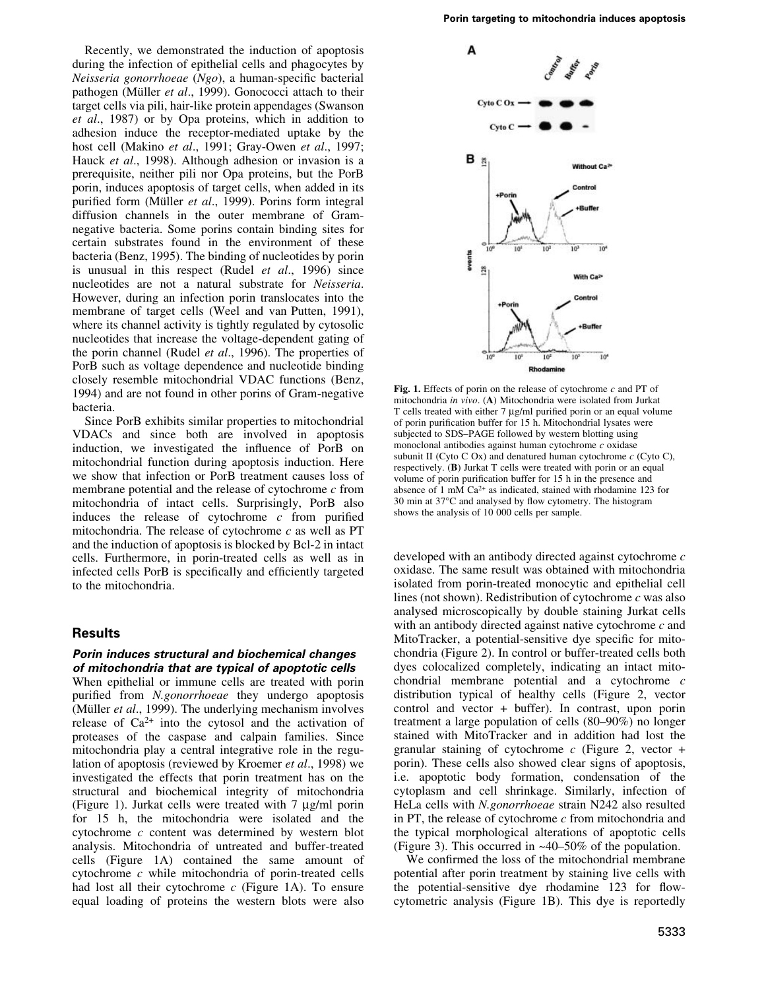Recently, we demonstrated the induction of apoptosis during the infection of epithelial cells and phagocytes by Neisseria gonorrhoeae (Ngo), a human-specific bacterial pathogen (Müller et al., 1999). Gonococci attach to their target cells via pili, hair-like protein appendages (Swanson et al., 1987) or by Opa proteins, which in addition to adhesion induce the receptor-mediated uptake by the host cell (Makino et al., 1991; Gray-Owen et al., 1997; Hauck et al., 1998). Although adhesion or invasion is a prerequisite, neither pili nor Opa proteins, but the PorB porin, induces apoptosis of target cells, when added in its purified form (Müller et al., 1999). Porins form integral diffusion channels in the outer membrane of Gramnegative bacteria. Some porins contain binding sites for certain substrates found in the environment of these bacteria (Benz, 1995). The binding of nucleotides by porin is unusual in this respect (Rudel *et al.*, 1996) since nucleotides are not a natural substrate for Neisseria. However, during an infection porin translocates into the membrane of target cells (Weel and van Putten, 1991), where its channel activity is tightly regulated by cytosolic nucleotides that increase the voltage-dependent gating of the porin channel (Rudel *et al.*, 1996). The properties of PorB such as voltage dependence and nucleotide binding closely resemble mitochondrial VDAC functions (Benz, 1994) and are not found in other porins of Gram-negative bacteria.

Since PorB exhibits similar properties to mitochondrial VDACs and since both are involved in apoptosis induction, we investigated the influence of PorB on mitochondrial function during apoptosis induction. Here we show that infection or PorB treatment causes loss of membrane potential and the release of cytochrome  $c$  from mitochondria of intact cells. Surprisingly, PorB also induces the release of cytochrome  $c$  from purified mitochondria. The release of cytochrome  $c$  as well as PT and the induction of apoptosis is blocked by Bcl-2 in intact cells. Furthermore, in porin-treated cells as well as in infected cells PorB is specifically and efficiently targeted to the mitochondria.

## **Results**

### Porin induces structural and biochemical changes of mitochondria that are typical of apoptotic cells

When epithelial or immune cells are treated with porin purified from N.gonorrhoeae they undergo apoptosis (Müller et al., 1999). The underlying mechanism involves release of  $Ca^{2+}$  into the cytosol and the activation of proteases of the caspase and calpain families. Since mitochondria play a central integrative role in the regulation of apoptosis (reviewed by Kroemer et al., 1998) we investigated the effects that porin treatment has on the structural and biochemical integrity of mitochondria (Figure 1). Jurkat cells were treated with  $7 \mu g/ml$  porin for 15 h, the mitochondria were isolated and the cytochrome  $c$  content was determined by western blot analysis. Mitochondria of untreated and buffer-treated cells (Figure 1A) contained the same amount of cytochrome  $c$  while mitochondria of porin-treated cells had lost all their cytochrome  $c$  (Figure 1A). To ensure equal loading of proteins the western blots were also



Fig. 1. Effects of porin on the release of cytochrome  $c$  and PT of mitochondria in vivo (A) Mitochondria were isolated from Jurkat T cells treated with either 7 µg/ml purified porin or an equal volume of porin purification buffer for 15 h. Mitochondrial lysates were subjected to SDS-PAGE followed by western blotting using monoclonal antibodies against human cytochrome  $c$  oxidase subunit II (Cyto C Ox) and denatured human cytochrome  $c$  (Cyto C), respectively. (B) Jurkat T cells were treated with porin or an equal volume of porin purification buffer for 15 h in the presence and absence of  $1 \text{ mM } Ca^{2+}$  as indicated, stained with rhodamine 123 for 30 min at 37°C and analysed by flow cytometry. The histogram shows the analysis of 10 000 cells per sample.

developed with an antibody directed against cytochrome c oxidase. The same result was obtained with mitochondria isolated from porin-treated monocytic and epithelial cell lines (not shown). Redistribution of cytochrome  $c$  was also analysed microscopically by double staining Jurkat cells with an antibody directed against native cytochrome  $c$  and MitoTracker, a potential-sensitive dye specific for mitochondria (Figure 2). In control or buffer-treated cells both dyes colocalized completely, indicating an intact mitochondrial membrane potential and a cytochrome  $c$ distribution typical of healthy cells (Figure 2, vector control and vector + buffer). In contrast, upon porin treatment a large population of cells  $(80-90\%)$  no longer stained with MitoTracker and in addition had lost the granular staining of cytochrome  $c$  (Figure 2, vector + porin). These cells also showed clear signs of apoptosis, i.e. apoptotic body formation, condensation of the cytoplasm and cell shrinkage. Similarly, infection of HeLa cells with N.gonorrhoeae strain N242 also resulted in PT, the release of cytochrome  $c$  from mitochondria and the typical morphological alterations of apoptotic cells (Figure 3). This occurred in  $~40-50\%$  of the population.

We confirmed the loss of the mitochondrial membrane potential after porin treatment by staining live cells with the potential-sensitive dye rhodamine 123 for flowcytometric analysis (Figure 1B). This dye is reportedly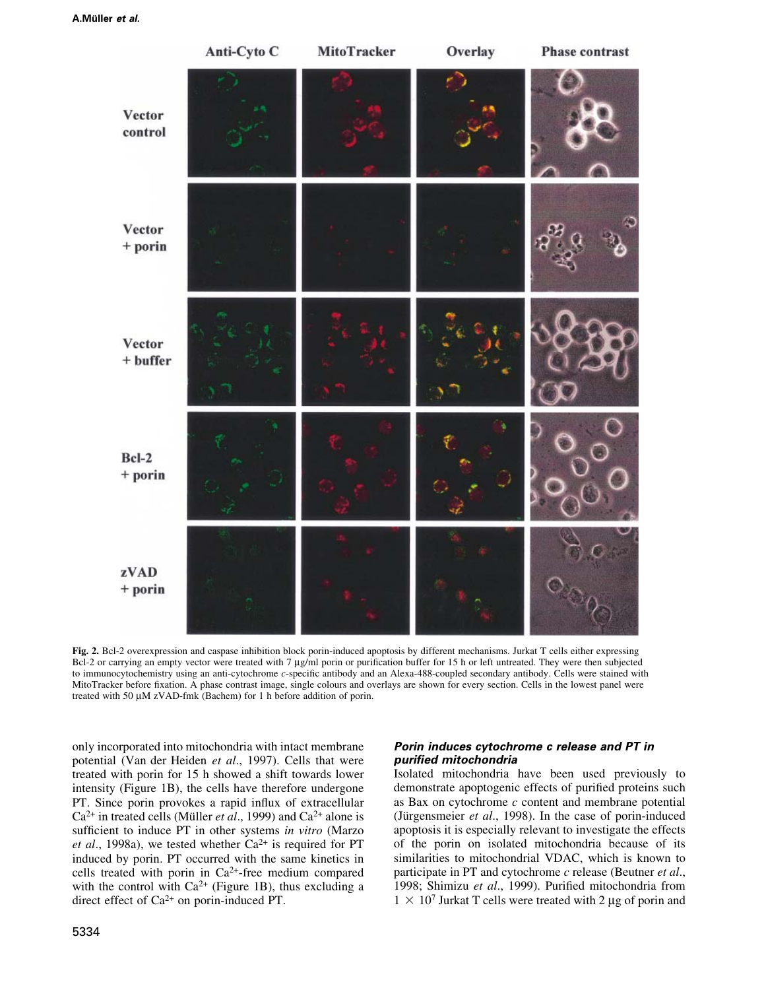

Fig. 2. Bcl-2 overexpression and caspase inhibition block porin-induced apoptosis by different mechanisms. Jurkat T cells either expressing Bcl-2 or carrying an empty vector were treated with 7 µg/ml porin or purification buffer for 15 h or left untreated. They were then subjected to immunocytochemistry using an anti-cytochrome c-specific antibody and an Alexa-488-coupled secondary antibody. Cells were stained with MitoTracker before fixation. A phase contrast image, single colours and overlays are shown for every section. Cells in the lowest panel were treated with 50 µM zVAD-fmk (Bachem) for 1 h before addition of porin.

only incorporated into mitochondria with intact membrane potential (Van der Heiden et al., 1997). Cells that were treated with porin for 15 h showed a shift towards lower intensity (Figure 1B), the cells have therefore undergone PT. Since porin provokes a rapid influx of extracellular  $Ca^{2+}$  in treated cells (Müller *et al.*, 1999) and  $Ca^{2+}$  alone is sufficient to induce PT in other systems in vitro (Marzo et al., 1998a), we tested whether  $Ca^{2+}$  is required for PT induced by porin. PT occurred with the same kinetics in cells treated with porin in  $Ca^{2+}$ -free medium compared with the control with  $Ca^{2+}$  (Figure 1B), thus excluding a direct effect of  $Ca^{2+}$  on porin-induced PT.

## Porin induces cytochrome c release and PT in purified mitochondria

Isolated mitochondria have been used previously to demonstrate apoptogenic effects of purified proteins such as Bax on cytochrome  $c$  content and membrane potential (Jürgensmeier et al., 1998). In the case of porin-induced apoptosis it is especially relevant to investigate the effects of the porin on isolated mitochondria because of its similarities to mitochondrial VDAC, which is known to participate in PT and cytochrome c release (Beutner et al., 1998; Shimizu et al., 1999). Purified mitochondria from  $1 \times 10^7$  Jurkat T cells were treated with 2 µg of porin and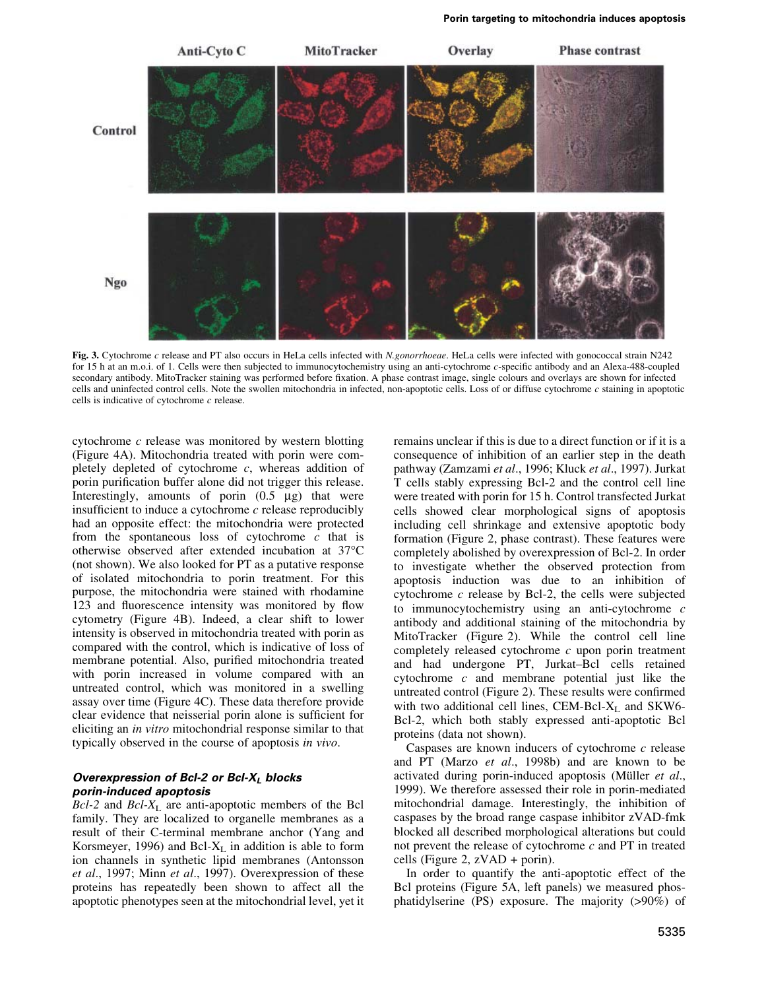

Fig. 3. Cytochrome c release and PT also occurs in HeLa cells infected with N.gonorrhoeae. HeLa cells were infected with gonococcal strain N242 for 15 h at an m.o.i. of 1. Cells were then subjected to immunocytochemistry using an anti-cytochrome c-specific antibody and an Alexa-488-coupled secondary antibody. MitoTracker staining was performed before fixation. A phase contrast image, single colours and overlays are shown for infected cells and uninfected control cells. Note the swollen mitochondria in infected, non-apoptotic cells. Loss of or diffuse cytochrome c staining in apoptotic cells is indicative of cytochrome  $c$  release.

cytochrome  $c$  release was monitored by western blotting (Figure 4A). Mitochondria treated with porin were completely depleted of cytochrome  $c$ , whereas addition of porin purification buffer alone did not trigger this release. Interestingly, amounts of porin  $(0.5 \mu g)$  that were insufficient to induce a cytochrome  $c$  release reproducibly had an opposite effect: the mitochondria were protected from the spontaneous loss of cytochrome  $c$  that is otherwise observed after extended incubation at 37°C (not shown). We also looked for PT as a putative response of isolated mitochondria to porin treatment. For this purpose, the mitochondria were stained with rhodamine 123 and fluorescence intensity was monitored by flow cytometry (Figure 4B). Indeed, a clear shift to lower intensity is observed in mitochondria treated with porin as compared with the control, which is indicative of loss of membrane potential. Also, purified mitochondria treated with porin increased in volume compared with an untreated control, which was monitored in a swelling assay over time (Figure 4C). These data therefore provide clear evidence that neisserial porin alone is sufficient for eliciting an in vitro mitochondrial response similar to that typically observed in the course of apoptosis in vivo.

## Overexpression of Bcl-2 or Bcl-XL blocks porin-induced apoptosis

 $Bcl-2$  and  $Bcl-X_L$  are anti-apoptotic members of the Bcl family. They are localized to organelle membranes as a result of their C-terminal membrane anchor (Yang and Korsmeyer, 1996) and Bcl- $X_L$  in addition is able to form ion channels in synthetic lipid membranes (Antonsson et al., 1997; Minn et al., 1997). Overexpression of these proteins has repeatedly been shown to affect all the apoptotic phenotypes seen at the mitochondrial level, yet it remains unclear if this is due to a direct function or if it is a consequence of inhibition of an earlier step in the death pathway (Zamzami et al., 1996; Kluck et al., 1997). Jurkat T cells stably expressing Bcl-2 and the control cell line were treated with porin for 15 h. Control transfected Jurkat cells showed clear morphological signs of apoptosis including cell shrinkage and extensive apoptotic body formation (Figure 2, phase contrast). These features were completely abolished by overexpression of Bcl-2. In order to investigate whether the observed protection from apoptosis induction was due to an inhibition of cytochrome  $c$  release by Bcl-2, the cells were subjected to immunocytochemistry using an anti-cytochrome  $c$ antibody and additional staining of the mitochondria by MitoTracker (Figure 2). While the control cell line completely released cytochrome  $c$  upon porin treatment and had undergone PT, Jurkat-Bcl cells retained cytochrome  $c$  and membrane potential just like the untreated control (Figure 2). These results were confirmed with two additional cell lines, CEM-Bcl-X<sub>L</sub> and SKW6-Bcl-2, which both stably expressed anti-apoptotic Bcl proteins (data not shown).

Caspases are known inducers of cytochrome  $c$  release and PT (Marzo *et al.*, 1998b) and are known to be activated during porin-induced apoptosis (Müller et al., 1999). We therefore assessed their role in porin-mediated mitochondrial damage. Interestingly, the inhibition of caspases by the broad range caspase inhibitor zVAD-fmk blocked all described morphological alterations but could not prevent the release of cytochrome  $c$  and PT in treated cells (Figure 2,  $zVAD + porin$ ).

In order to quantify the anti-apoptotic effect of the Bel proteins (Figure 5A, left panels) we measured phosphatidylserine (PS) exposure. The majority (>90%) of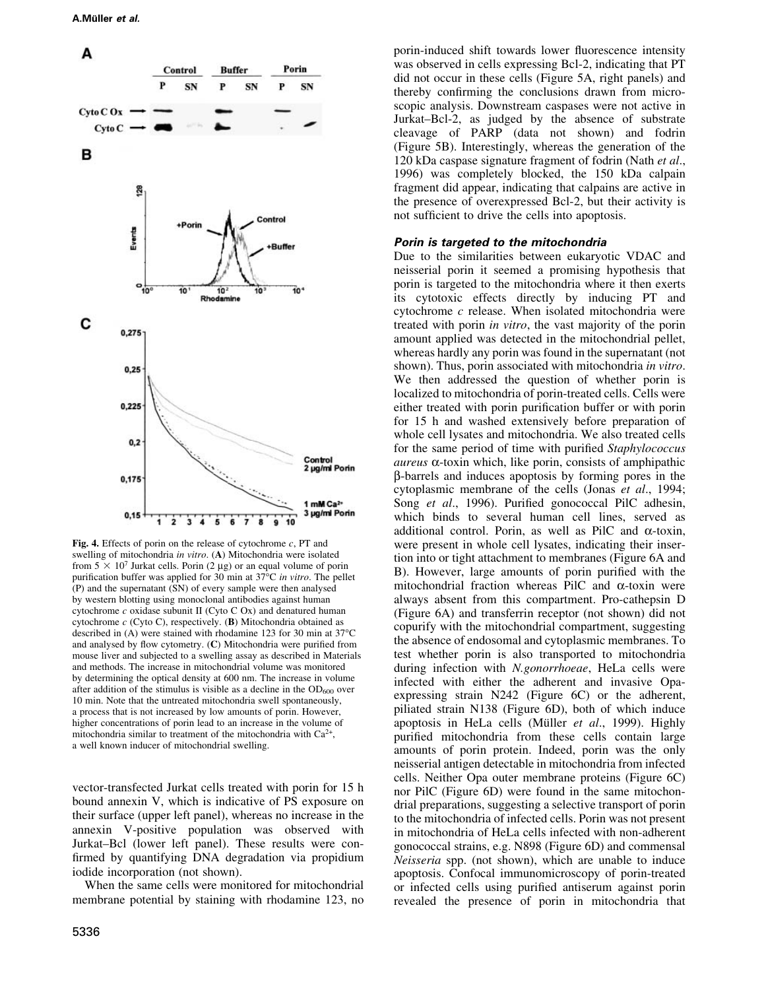

Fig. 4. Effects of porin on the release of cytochrome  $c$ , PT and swelling of mitochondria in vitro. (A) Mitochondria were isolated from  $5 \times 10^7$  Jurkat cells. Porin (2 µg) or an equal volume of porin purification buffer was applied for 30 min at  $37^{\circ}$ C in vitro. The pellet  $(P)$  and the supernatant  $(SN)$  of every sample were then analysed by western blotting using monoclonal antibodies against human cytochrome  $c$  oxidase subunit II (Cyto C Ox) and denatured human cytochrome  $c$  (Cyto C), respectively. (B) Mitochondria obtained as described in (A) were stained with rhodamine 123 for 30 min at 37°C and analysed by flow cytometry.  $(C)$  Mitochondria were purified from mouse liver and subjected to a swelling assay as described in Materials and methods. The increase in mitochondrial volume was monitored by determining the optical density at 600 nm. The increase in volume after addition of the stimulus is visible as a decline in the  $OD<sub>600</sub>$  over 10 min. Note that the untreated mitochondria swell spontaneously, a process that is not increased by low amounts of porin. However, higher concentrations of porin lead to an increase in the volume of mitochondria similar to treatment of the mitochondria with  $Ca^{2+}$ , a well known inducer of mitochondrial swelling.

vector-transfected Jurkat cells treated with porin for 15 h bound annexin V, which is indicative of PS exposure on their surface (upper left panel), whereas no increase in the annexin V-positive population was observed with Jurkat-Bcl (lower left panel). These results were confirmed by quantifying DNA degradation via propidium iodide incorporation (not shown).

When the same cells were monitored for mitochondrial membrane potential by staining with rhodamine 123, no

porin-induced shift towards lower fluorescence intensity was observed in cells expressing Bcl-2, indicating that PT did not occur in these cells (Figure 5A, right panels) and thereby confirming the conclusions drawn from microscopic analysis. Downstream caspases were not active in Jurkat-Bcl-2, as judged by the absence of substrate cleavage of PARP (data not shown) and fodrin (Figure 5B). Interestingly, whereas the generation of the 120 kDa caspase signature fragment of fodrin (Nath *et al.*, 1996) was completely blocked, the 150 kDa calpain fragment did appear, indicating that calpains are active in the presence of overexpressed Bcl-2, but their activity is not sufficient to drive the cells into apoptosis.

#### Porin is targeted to the mitochondria

Due to the similarities between eukaryotic VDAC and neisserial porin it seemed a promising hypothesis that porin is targeted to the mitochondria where it then exerts its cytotoxic effects directly by inducing PT and cytochrome  $c$  release. When isolated mitochondria were treated with porin *in vitro*, the vast majority of the porin amount applied was detected in the mitochondrial pellet, whereas hardly any porin was found in the supernatant (not shown). Thus, porin associated with mitochondria in vitro. We then addressed the question of whether porin is localized to mitochondria of porin-treated cells. Cells were either treated with porin purification buffer or with porin for 15 h and washed extensively before preparation of whole cell lysates and mitochondria. We also treated cells for the same period of time with purified Staphylococcus *aureus*  $\alpha$ -toxin which, like porin, consists of amphipathic  $\beta$ -barrels and induces apoptosis by forming pores in the cytoplasmic membrane of the cells (Jonas et al., 1994; Song et al., 1996). Purified gonococcal PilC adhesin, which binds to several human cell lines, served as additional control. Porin, as well as PilC and  $\alpha$ -toxin, were present in whole cell lysates, indicating their insertion into or tight attachment to membranes (Figure 6A and B). However, large amounts of porin purified with the mitochondrial fraction whereas PilC and  $\alpha$ -toxin were always absent from this compartment. Pro-cathepsin D (Figure 6A) and transferrin receptor (not shown) did not copurify with the mitochondrial compartment, suggesting the absence of endosomal and cytoplasmic membranes. To test whether porin is also transported to mitochondria during infection with N.gonorrhoeae, HeLa cells were infected with either the adherent and invasive Opaexpressing strain N242 (Figure 6C) or the adherent, piliated strain N138 (Figure 6D), both of which induce apoptosis in HeLa cells (Müller et al., 1999). Highly purified mitochondria from these cells contain large amounts of porin protein. Indeed, porin was the only neisserial antigen detectable in mitochondria from infected cells. Neither Opa outer membrane proteins (Figure 6C) nor PilC (Figure 6D) were found in the same mitochondrial preparations, suggesting a selective transport of porin to the mitochondria of infected cells. Porin was not present in mitochondria of HeLa cells infected with non-adherent gonococcal strains, e.g. N898 (Figure 6D) and commensal *Neisseria* spp. (not shown), which are unable to induce apoptosis. Confocal immunomicroscopy of porin-treated or infected cells using purified antiserum against porin revealed the presence of porin in mitochondria that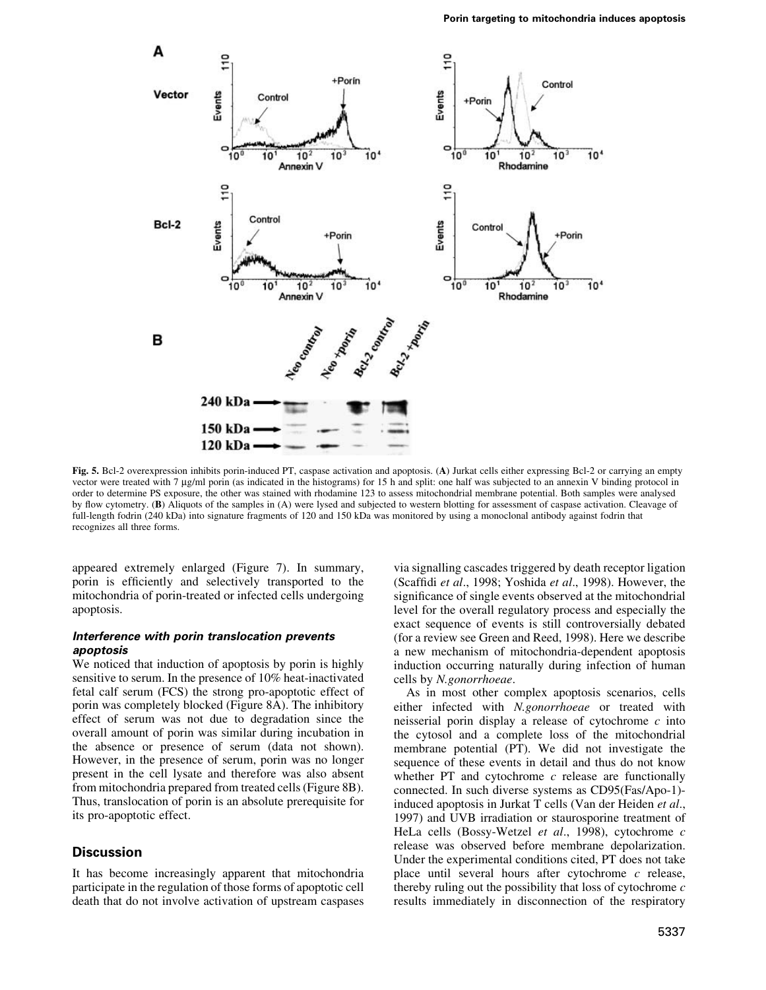

Fig. 5. Bcl-2 overexpression inhibits porin-induced PT, caspase activation and apoptosis. (A) Jurkat cells either expressing Bcl-2 or carrying an empty vector were treated with 7 µg/ml porin (as indicated in the histograms) for 15 h and split: one half was subjected to an annexin V binding protocol in order to determine PS exposure, the other was stained with rhodamine 123 to assess mitochondrial membrane potential. Both samples were analysed by flow cytometry. (B) Aliquots of the samples in (A) were lysed and subjected to western blotting for assessment of caspase activation. Cleavage of full-length fodrin (240 kDa) into signature fragments of 120 and 150 kDa was monitored by using a monoclonal antibody against fodrin that recognizes all three forms.

appeared extremely enlarged (Figure 7). In summary, porin is efficiently and selectively transported to the mitochondria of porin-treated or infected cells undergoing apoptosis.

### Interference with porin translocation prevents apoptosis

We noticed that induction of apoptosis by porin is highly sensitive to serum. In the presence of 10% heat-inactivated fetal calf serum (FCS) the strong pro-apoptotic effect of porin was completely blocked (Figure 8A). The inhibitory effect of serum was not due to degradation since the overall amount of porin was similar during incubation in the absence or presence of serum (data not shown). However, in the presence of serum, porin was no longer present in the cell lysate and therefore was also absent from mitochondria prepared from treated cells (Figure 8B). Thus, translocation of porin is an absolute prerequisite for its pro-apoptotic effect.

## **Discussion**

It has become increasingly apparent that mitochondria participate in the regulation of those forms of apoptotic cell death that do not involve activation of upstream caspases via signalling cascades triggered by death receptor ligation (Scaffidi et al., 1998; Yoshida et al., 1998). However, the significance of single events observed at the mitochondrial level for the overall regulatory process and especially the exact sequence of events is still controversially debated (for a review see Green and Reed, 1998). Here we describe a new mechanism of mitochondria-dependent apoptosis induction occurring naturally during infection of human cells by N.gonorrhoeae.

As in most other complex apoptosis scenarios, cells either infected with N.gonorrhoeae or treated with neisserial porin display a release of cytochrome  $c$  into the cytosol and a complete loss of the mitochondrial membrane potential (PT). We did not investigate the sequence of these events in detail and thus do not know whether PT and cytochrome  $c$  release are functionally connected. In such diverse systems as CD95(Fas/Apo-1)induced apoptosis in Jurkat T cells (Van der Heiden et al., 1997) and UVB irradiation or staurosporine treatment of HeLa cells (Bossy-Wetzel et al., 1998), cytochrome c release was observed before membrane depolarization. Under the experimental conditions cited, PT does not take place until several hours after cytochrome c release, thereby ruling out the possibility that loss of cytochrome  $c$ results immediately in disconnection of the respiratory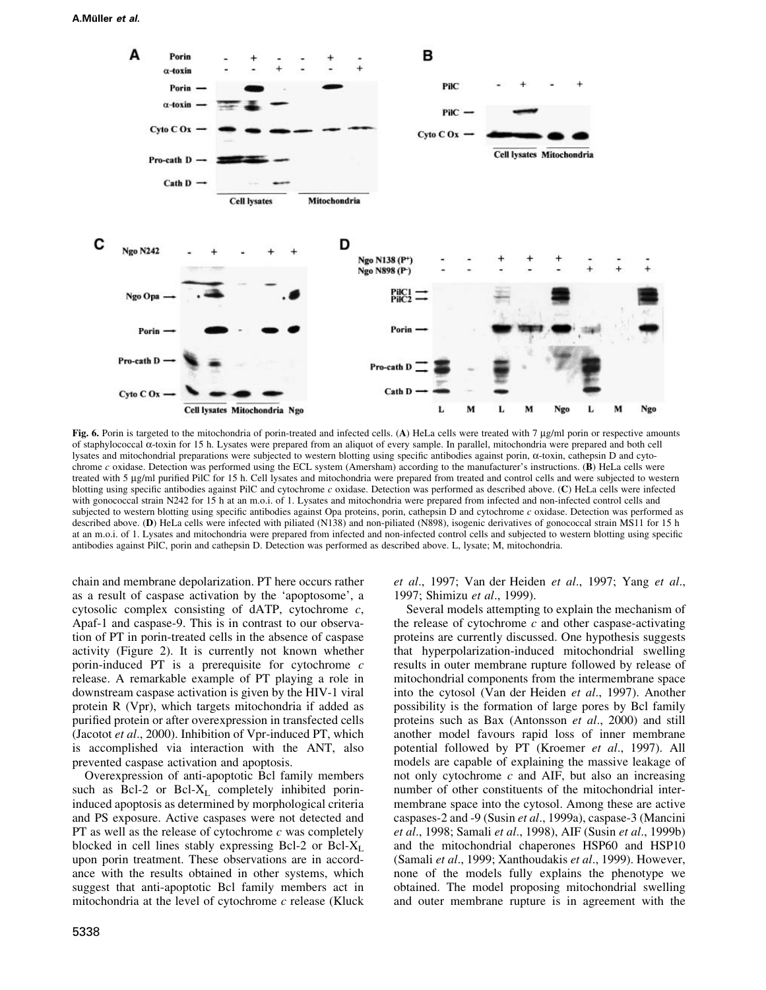#### A.Müller et al.



Fig. 6. Porin is targeted to the mitochondria of porin-treated and infected cells. (A) HeLa cells were treated with 7 µg/ml porin or respective amounts of staphylococcal α-toxin for 15 h. Lysates were prepared from an aliquot of every sample. In parallel, mitochondria were prepared and both cell lysates and mitochondrial preparations were subjected to western blotting using specific antibodies against porin, α-toxin, cathepsin D and cytochrome c oxidase. Detection was performed using the ECL system (Amersham) according to the manufacturer's instructions. (B) HeLa cells were treated with 5 µg/ml purified PilC for 15 h. Cell lysates and mitochondria were prepared from treated and control cells and were subjected to western blotting using specific antibodies against PilC and cytochrome c oxidase. Detection was performed as described above. (C) HeLa cells were infected with gonococcal strain N242 for 15 h at an m.o.i. of 1. Lysates and mitochondria were prepared from infected and non-infected control cells and subjected to western blotting using specific antibodies against Opa proteins, porin, cathepsin D and cytochrome  $c$  oxidase. Detection was performed as described above. (D) HeLa cells were infected with piliated (N138) and non-piliated (N898), isogenic derivatives of gonococcal strain MS11 for 15 h at an m.o.i. of 1. Lysates and mitochondria were prepared from infected and non-infected control cells and subjected to western blotting using specific antibodies against PilC, porin and cathepsin D. Detection was performed as described above. L, lysate; M, mitochondria.

chain and membrane depolarization. PT here occurs rather as a result of caspase activation by the 'apoptosome', a cytosolic complex consisting of dATP, cytochrome  $c$ , Apaf-1 and caspase-9. This is in contrast to our observation of PT in porin-treated cells in the absence of caspase activity (Figure 2). It is currently not known whether porin-induced PT is a prerequisite for cytochrome  $c$ release. A remarkable example of PT playing a role in downstream caspase activation is given by the HIV-1 viral protein R (Vpr), which targets mitochondria if added as purified protein or after overexpression in transfected cells (Jacotot et al., 2000). Inhibition of Vpr-induced PT, which is accomplished via interaction with the ANT, also prevented caspase activation and apoptosis.

Overexpression of anti-apoptotic Bcl family members such as Bcl-2 or Bcl-X<sub>L</sub> completely inhibited porininduced apoptosis as determined by morphological criteria and PS exposure. Active caspases were not detected and PT as well as the release of cytochrome  $c$  was completely blocked in cell lines stably expressing Bcl-2 or Bcl-X<sub>L</sub> upon porin treatment. These observations are in accordance with the results obtained in other systems, which suggest that anti-apoptotic Bcl family members act in mitochondria at the level of cytochrome  $c$  release (Kluck

5338

et al., 1997; Van der Heiden et al., 1997; Yang et al., 1997; Shimizu et al., 1999).

Several models attempting to explain the mechanism of the release of cytochrome  $c$  and other caspase-activating proteins are currently discussed. One hypothesis suggests that hyperpolarization-induced mitochondrial swelling results in outer membrane rupture followed by release of mitochondrial components from the intermembrane space into the cytosol (Van der Heiden et al., 1997). Another possibility is the formation of large pores by Bcl family proteins such as Bax (Antonsson et al., 2000) and still another model favours rapid loss of inner membrane potential followed by PT (Kroemer et al., 1997). All models are capable of explaining the massive leakage of not only cytochrome  $c$  and AIF, but also an increasing number of other constituents of the mitochondrial intermembrane space into the cytosol. Among these are active caspases-2 and -9 (Susin et al., 1999a), caspase-3 (Mancini et al., 1998; Samali et al., 1998), AIF (Susin et al., 1999b) and the mitochondrial chaperones HSP60 and HSP10 (Samali et al., 1999; Xanthoudakis et al., 1999). However, none of the models fully explains the phenotype we obtained. The model proposing mitochondrial swelling and outer membrane rupture is in agreement with the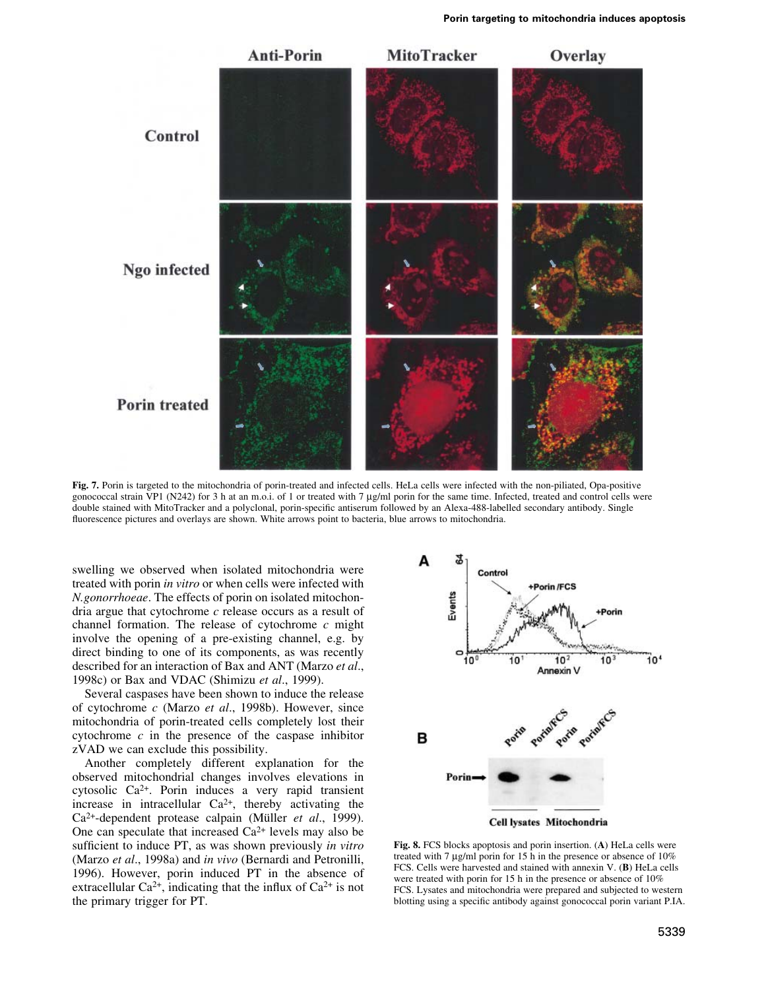

Fig. 7. Porin is targeted to the mitochondria of porin-treated and infected cells. HeLa cells were infected with the non-piliated, Opa-positive gonococcal strain VP1 (N242) for 3 h at an m.o.i. of 1 or treated with 7 µg/ml porin for the same time. Infected, treated and control cells were double stained with MitoTracker and a polyclonal, porin-specific antiserum followed by an Alexa-488-labelled secondary antibody. Single fluorescence pictures and overlays are shown. White arrows point to bacteria, blue arrows to mitochondria.

swelling we observed when isolated mitochondria were treated with porin *in vitro* or when cells were infected with N.gonorrhoeae. The effects of porin on isolated mitochondria argue that cytochrome  $c$  release occurs as a result of channel formation. The release of cytochrome  $c$  might involve the opening of a pre-existing channel, e.g. by direct binding to one of its components, as was recently described for an interaction of Bax and ANT (Marzo et al., 1998c) or Bax and VDAC (Shimizu et al., 1999).

Several caspases have been shown to induce the release of cytochrome c (Marzo et al., 1998b). However, since mitochondria of porin-treated cells completely lost their cytochrome  $c$  in the presence of the caspase inhibitor zVAD we can exclude this possibility.

Another completely different explanation for the observed mitochondrial changes involves elevations in cytosolic Ca<sup>2+</sup>. Porin induces a very rapid transient increase in intracellular  $Ca^{2+}$ , thereby activating the Ca<sup>2+</sup>-dependent protease calpain (Müller et al., 1999). One can speculate that increased  $Ca^{2+}$  levels may also be sufficient to induce PT, as was shown previously in vitro (Marzo et al., 1998a) and in vivo (Bernardi and Petronilli, 1996). However, porin induced PT in the absence of extracellular Ca<sup>2+</sup>, indicating that the influx of Ca<sup>2+</sup> is not the primary trigger for PT.



Fig. 8. FCS blocks apoptosis and porin insertion. (A) HeLa cells were treated with 7 µg/ml porin for 15 h in the presence or absence of 10% FCS. Cells were harvested and stained with annexin V. (B) HeLa cells were treated with porin for 15 h in the presence or absence of 10% FCS. Lysates and mitochondria were prepared and subjected to western blotting using a specific antibody against gonococcal porin variant P.IA.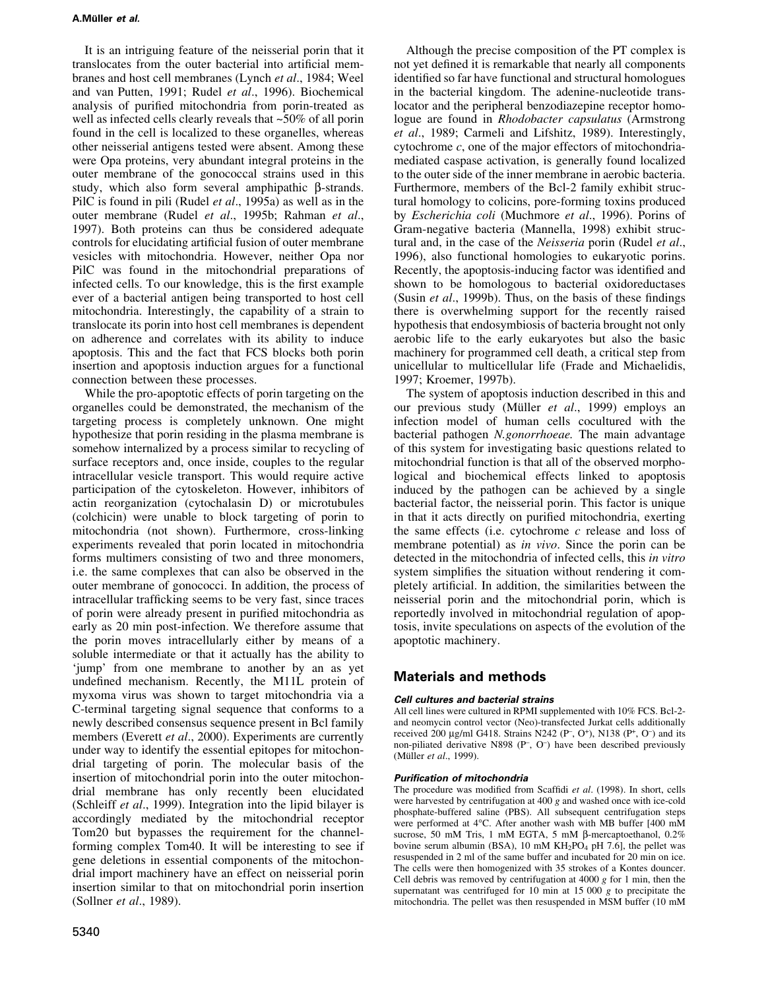### A.Müller et al.

It is an intriguing feature of the neisserial porin that it translocates from the outer bacterial into artificial membranes and host cell membranes (Lynch *et al.*, 1984; Weel and van Putten, 1991; Rudel et al., 1996). Biochemical analysis of purified mitochondria from porin-treated as well as infected cells clearly reveals that  $\sim 50\%$  of all porin found in the cell is localized to these organelles, whereas other neisserial antigens tested were absent. Among these were Opa proteins, very abundant integral proteins in the outer membrane of the gonococcal strains used in this study, which also form several amphipathic B-strands. PilC is found in pili (Rudel et al., 1995a) as well as in the outer membrane (Rudel et al., 1995b; Rahman et al., 1997). Both proteins can thus be considered adequate controls for elucidating artificial fusion of outer membrane vesicles with mitochondria. However, neither Opa nor PilC was found in the mitochondrial preparations of infected cells. To our knowledge, this is the first example ever of a bacterial antigen being transported to host cell mitochondria. Interestingly, the capability of a strain to translocate its porin into host cell membranes is dependent on adherence and correlates with its ability to induce apoptosis. This and the fact that FCS blocks both porin insertion and apoptosis induction argues for a functional connection between these processes.

While the pro-apoptotic effects of porin targeting on the organelles could be demonstrated, the mechanism of the targeting process is completely unknown. One might hypothesize that porin residing in the plasma membrane is somehow internalized by a process similar to recycling of surface receptors and, once inside, couples to the regular intracellular vesicle transport. This would require active participation of the cytoskeleton. However, inhibitors of actin reorganization (cytochalasin D) or microtubules (colchicin) were unable to block targeting of porin to mitochondria (not shown). Furthermore, cross-linking experiments revealed that porin located in mitochondria forms multimers consisting of two and three monomers, i.e. the same complexes that can also be observed in the outer membrane of gonococci. In addition, the process of intracellular trafficking seems to be very fast, since traces of porin were already present in purified mitochondria as early as 20 min post-infection. We therefore assume that the porin moves intracellularly either by means of a soluble intermediate or that it actually has the ability to 'jump' from one membrane to another by an as yet undefined mechanism. Recently, the M11L protein of myxoma virus was shown to target mitochondria via a C-terminal targeting signal sequence that conforms to a newly described consensus sequence present in Bcl family members (Everett et al., 2000). Experiments are currently under way to identify the essential epitopes for mitochondrial targeting of porin. The molecular basis of the insertion of mitochondrial porin into the outer mitochondrial membrane has only recently been elucidated (Schleiff et al., 1999). Integration into the lipid bilayer is accordingly mediated by the mitochondrial receptor Tom20 but bypasses the requirement for the channelforming complex Tom40. It will be interesting to see if gene deletions in essential components of the mitochondrial import machinery have an effect on neisserial porin insertion similar to that on mitochondrial porin insertion (Sollner et al., 1989).

Although the precise composition of the PT complex is not yet defined it is remarkable that nearly all components identified so far have functional and structural homologues in the bacterial kingdom. The adenine-nucleotide translocator and the peripheral benzodiazepine receptor homologue are found in Rhodobacter capsulatus (Armstrong et al., 1989; Carmeli and Lifshitz, 1989). Interestingly, cytochrome  $c$ , one of the major effectors of mitochondriamediated caspase activation, is generally found localized to the outer side of the inner membrane in aerobic bacteria. Furthermore, members of the Bcl-2 family exhibit structural homology to colicins, pore-forming toxins produced by Escherichia coli (Muchmore et al., 1996). Porins of Gram-negative bacteria (Mannella, 1998) exhibit structural and, in the case of the Neisseria porin (Rudel et al., 1996), also functional homologies to eukaryotic porins. Recently, the apoptosis-inducing factor was identified and shown to be homologous to bacterial oxidoreductases (Susin et al., 1999b). Thus, on the basis of these findings there is overwhelming support for the recently raised hypothesis that endosymbiosis of bacteria brought not only aerobic life to the early eukaryotes but also the basic machinery for programmed cell death, a critical step from unicellular to multicellular life (Frade and Michaelidis, 1997; Kroemer, 1997b).

The system of apoptosis induction described in this and our previous study (Müller et al., 1999) employs an infection model of human cells cocultured with the bacterial pathogen N.gonorrhoeae. The main advantage of this system for investigating basic questions related to mitochondrial function is that all of the observed morphological and biochemical effects linked to apoptosis induced by the pathogen can be achieved by a single bacterial factor, the neisserial porin. This factor is unique in that it acts directly on purified mitochondria, exerting the same effects (i.e. cytochrome  $c$  release and loss of membrane potential) as *in vivo*. Since the porin can be detected in the mitochondria of infected cells, this in vitro system simplifies the situation without rendering it completely artificial. In addition, the similarities between the neisserial porin and the mitochondrial porin, which is reportedly involved in mitochondrial regulation of apoptosis, invite speculations on aspects of the evolution of the apoptotic machinery.

## **Materials and methods**

## Cell cultures and bacterial strains

All cell lines were cultured in RPMI supplemented with 10% FCS. Bcl-2and neomycin control vector (Neo)-transfected Jurkat cells additionally received 200 µg/ml G418. Strains N242 (P-, O<sup>+</sup>), N138 (P<sup>+</sup>, O<sup>-</sup>) and its non-piliated derivative N898 (P-, O-) have been described previously (Müller et al., 1999).

### **Purification of mitochondria**

The procedure was modified from Scaffidi et al. (1998). In short, cells were harvested by centrifugation at  $400 g$  and washed once with ice-cold phosphate-buffered saline (PBS). All subsequent centrifugation steps were performed at 4°C. After another wash with MB buffer [400 mM sucrose, 50 mM Tris, 1 mM EGTA, 5 mM  $\beta$ -mercaptoethanol, 0.2% bovine serum albumin (BSA), 10 mM KH<sub>2</sub>PO<sub>4</sub> pH 7.6], the pellet was resuspended in 2 ml of the same buffer and incubated for 20 min on ice. The cells were then homogenized with 35 strokes of a Kontes douncer. Cell debris was removed by centrifugation at 4000  $g$  for 1 min, then the supernatant was centrifuged for 10 min at 15 000  $g$  to precipitate the mitochondria. The pellet was then resuspended in MSM buffer (10 mM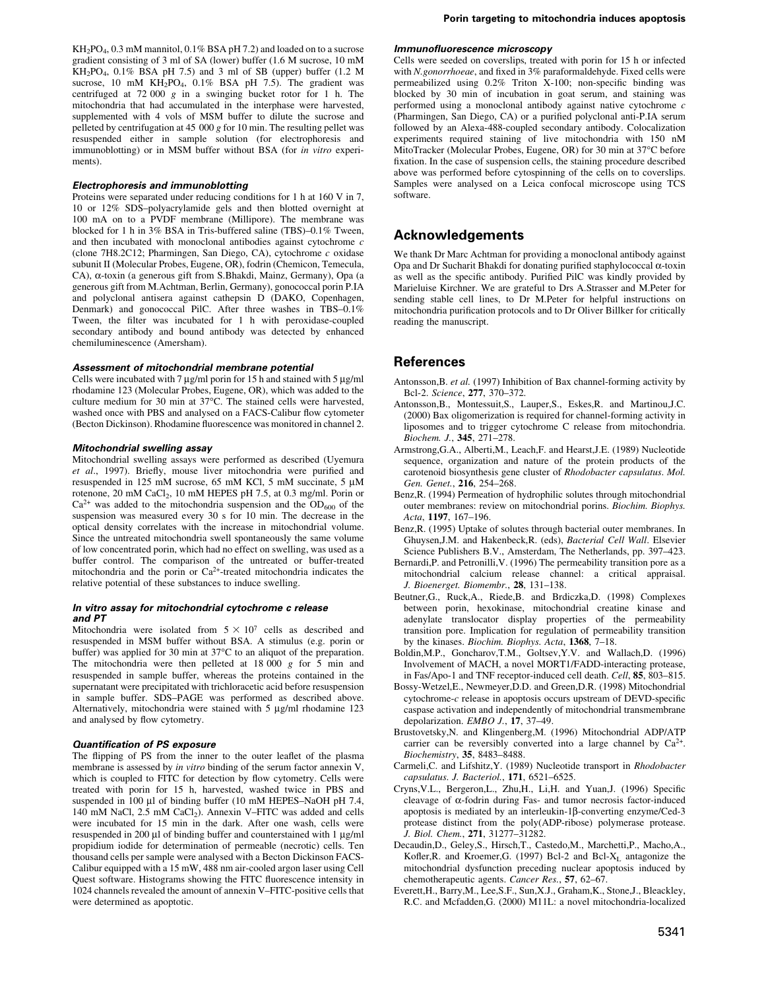$KH_2PO_4$ , 0.3 mM mannitol, 0.1% BSA pH 7.2) and loaded on to a sucrose gradient consisting of 3 ml of SA (lower) buffer (1.6 M sucrose, 10 mM  $KH_2PO_4$ , 0.1% BSA pH 7.5) and 3 ml of SB (upper) buffer (1.2 M sucrose, 10 mM KH<sub>2</sub>PO<sub>4</sub>, 0.1% BSA pH 7.5). The gradient was centrifuged at 72 000  $g$  in a swinging bucket rotor for 1 h. The mitochondria that had accumulated in the interphase were harvested, supplemented with 4 vols of MSM buffer to dilute the sucrose and pelleted by centrifugation at 45 000  $g$  for 10 min. The resulting pellet was resuspended either in sample solution (for electrophoresis and immunoblotting) or in MSM buffer without BSA (for *in vitro* experiments).

#### **Electrophoresis and immunoblotting**

Proteins were separated under reducing conditions for 1 h at 160 V in 7, 10 or 12% SDS-polyacrylamide gels and then blotted overnight at 100 mA on to a PVDF membrane (Millipore). The membrane was blocked for 1 h in 3% BSA in Tris-buffered saline (TBS)-0.1% Tween, and then incubated with monoclonal antibodies against cytochrome  $c$ (clone 7H8.2C12; Pharmingen, San Diego, CA), cytochrome c oxidase subunit II (Molecular Probes, Eugene, OR), fodrin (Chemicon, Temecula, CA), α-toxin (a generous gift from S.Bhakdi, Mainz, Germany), Opa (a generous gift from M.Achtman, Berlin, Germany), gonococcal porin P.IA and polyclonal antisera against cathepsin D (DAKO, Copenhagen, Denmark) and gonococcal PilC. After three washes in TBS-0.1% Tween, the filter was incubated for 1 h with peroxidase-coupled secondary antibody and bound antibody was detected by enhanced chemiluminescence (Amersham).

#### Assessment of mitochondrial membrane potential

Cells were incubated with 7  $\mu$ g/ml porin for 15 h and stained with 5  $\mu$ g/ml rhodamine 123 (Molecular Probes, Eugene, OR), which was added to the culture medium for 30 min at 37°C. The stained cells were harvested, washed once with PBS and analysed on a FACS-Calibur flow cytometer (Becton Dickinson). Rhodamine fluorescence was monitored in channel 2.

#### Mitochondrial swelling assay

Mitochondrial swelling assays were performed as described (Uvemura et al., 1997). Briefly, mouse liver mitochondria were purified and resuspended in 125 mM sucrose, 65 mM KCl, 5 mM succinate, 5 µM rotenone, 20 mM CaCl<sub>2</sub>, 10 mM HEPES pH 7.5, at 0.3 mg/ml. Porin or  $Ca^{2+}$  was added to the mitochondria suspension and the OD<sub>600</sub> of the suspension was measured every 30 s for 10 min. The decrease in the optical density correlates with the increase in mitochondrial volume. Since the untreated mitochondria swell spontaneously the same volume of low concentrated porin, which had no effect on swelling, was used as a buffer control. The comparison of the untreated or buffer-treated mitochondria and the porin or Ca<sup>2+</sup>-treated mitochondria indicates the relative potential of these substances to induce swelling.

#### In vitro assay for mitochondrial cytochrome c release and PT

Mitochondria were isolated from  $5 \times 10^7$  cells as described and resuspended in MSM buffer without BSA. A stimulus (e.g. porin or buffer) was applied for 30 min at  $37^{\circ}$ C to an aliquot of the preparation. The mitochondria were then pelleted at  $18,000, g$  for 5 min and resuspended in sample buffer, whereas the proteins contained in the supernatant were precipitated with trichloracetic acid before resuspension in sample buffer. SDS-PAGE was performed as described above. Alternatively, mitochondria were stained with 5 µg/ml rhodamine 123 and analysed by flow cytometry.

#### **Quantification of PS exposure**

The flipping of PS from the inner to the outer leaflet of the plasma membrane is assessed by in vitro binding of the serum factor annexin V, which is coupled to FITC for detection by flow cytometry. Cells were treated with porin for 15 h, harvested, washed twice in PBS and suspended in 100 µl of binding buffer (10 mM HEPES-NaOH pH 7.4, 140 mM NaCl, 2.5 mM CaCl<sub>2</sub>). Annexin V-FITC was added and cells were incubated for 15 min in the dark. After one wash, cells were resuspended in 200  $\mu$ l of binding buffer and counterstained with 1  $\mu$ g/ml propidium iodide for determination of permeable (necrotic) cells. Ten thousand cells per sample were analysed with a Becton Dickinson FACS-Calibur equipped with a 15 mW, 488 nm air-cooled argon laser using Cell Quest software. Histograms showing the FITC fluorescence intensity in 1024 channels revealed the amount of annexin V-FITC-positive cells that were determined as apoptotic.

#### Immunofluorescence microscopy

Cells were seeded on coverslips, treated with porin for 15 h or infected with N.gonorrhoeae, and fixed in 3% paraformaldehyde. Fixed cells were permeabilized using 0.2% Triton X-100; non-specific binding was blocked by 30 min of incubation in goat serum, and staining was performed using a monoclonal antibody against native cytochrome  $c$ (Pharmingen, San Diego, CA) or a purified polyclonal anti-P.IA serum followed by an Alexa-488-coupled secondary antibody. Colocalization experiments required staining of live mitochondria with 150 nM MitoTracker (Molecular Probes, Eugene, OR) for 30 min at 37°C before fixation. In the case of suspension cells, the staining procedure described above was performed before cytospinning of the cells on to coverslips. Samples were analysed on a Leica confocal microscope using TCS software.

## **Acknowledgements**

We thank Dr Marc Achtman for providing a monoclonal antibody against Opa and Dr Sucharit Bhakdi for donating purified staphylococcal  $\alpha$ -toxin as well as the specific antibody. Purified PilC was kindly provided by Marieluise Kirchner. We are grateful to Drs A.Strasser and M.Peter for sending stable cell lines, to Dr M.Peter for helpful instructions on mitochondria purification protocols and to Dr Oliver Billker for critically reading the manuscript.

## **References**

- Antonsson, B. et al. (1997) Inhibition of Bax channel-forming activity by Bcl-2. Science, 277, 370-372.
- Antonsson, B., Montessuit, S., Lauper, S., Eskes, R. and Martinou, J.C. (2000) Bax oligomerization is required for channel-forming activity in liposomes and to trigger cytochrome C release from mitochondria. Biochem. J., 345, 271-278.
- Armstrong, G.A., Alberti, M., Leach, F. and Hearst, J.E. (1989) Nucleotide sequence, organization and nature of the protein products of the carotenoid biosynthesis gene cluster of Rhodobacter capsulatus. Mol. Gen. Genet., 216, 254-268.
- Benz, R. (1994) Permeation of hydrophilic solutes through mitochondrial outer membranes: review on mitochondrial porins. Biochim. Biophys. Acta, 1197, 167-196.
- Benz.R. (1995) Uptake of solutes through bacterial outer membranes. In Ghuysen, J.M. and Hakenbeck, R. (eds), Bacterial Cell Wall. Elsevier Science Publishers B.V., Amsterdam, The Netherlands, pp. 397-423.
- Bernardi, P. and Petronilli, V. (1996) The permeability transition pore as a mitochondrial calcium release channel: a critical appraisal. J. Bioenerget. Biomembr., 28, 131-138.
- Beutner, G., Ruck, A., Riede, B. and Brdiczka, D. (1998) Complexes between porin, hexokinase, mitochondrial creatine kinase and adenylate translocator display properties of the permeability transition pore. Implication for regulation of permeability transition by the kinases. Biochim. Biophys. Acta, 1368, 7-18.
- Boldin, M.P., Goncharov, T.M., Goltsev, Y.V. and Wallach, D. (1996) Involvement of MACH, a novel MORT1/FADD-interacting protease, in Fas/Apo-1 and TNF receptor-induced cell death. Cell, 85, 803-815.
- Bossy-Wetzel, E., Newmeyer, D.D. and Green, D.R. (1998) Mitochondrial cytochrome- $c$  release in apoptosis occurs upstream of DEVD-specific caspase activation and independently of mitochondrial transmembrane depolarization. EMBO J., 17, 37-49.
- Brustovetsky, N. and Klingenberg, M. (1996) Mitochondrial ADP/ATP carrier can be reversibly converted into a large channel by  $Ca^{2+}$ . Biochemistry, 35, 8483-8488.
- Carmeli, C. and Lifshitz, Y. (1989) Nucleotide transport in Rhodobacter capsulatus. J. Bacteriol., 171, 6521-6525.
- Cryns, V.L., Bergeron, L., Zhu, H., Li, H. and Yuan, J. (1996) Specific cleavage of  $\alpha$ -fodrin during Fas- and tumor necrosis factor-induced apoptosis is mediated by an interleukin-1 $\beta$ -converting enzyme/Ced-3 protease distinct from the poly(ADP-ribose) polymerase protease. J. Biol. Chem., 271, 31277-31282.
- Decaudin.D., Gelev.S., Hirsch.T., Castedo.M., Marchetti.P., Macho.A., Kofler, R. and Kroemer, G. (1997) Bcl-2 and Bcl- $X_L$  antagonize the mitochondrial dysfunction preceding nuclear apoptosis induced by chemotherapeutic agents. Cancer Res., 57, 62-67.
- Everett, H., Barry, M., Lee, S.F., Sun, X.J., Graham, K., Stone, J., Bleackley, R.C. and Mcfadden, G. (2000) M11L: a novel mitochondria-localized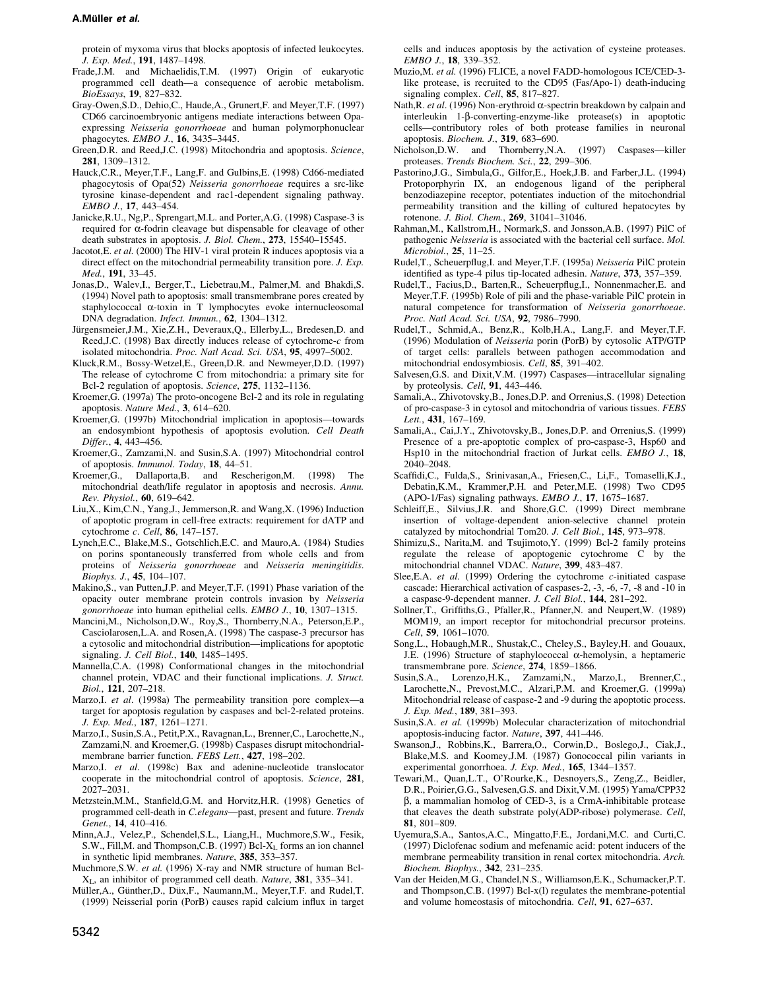#### A.Müller et al.

protein of myxoma virus that blocks apoptosis of infected leukocytes. J. Exp. Med., 191, 1487-1498.

- Frade, J.M. and Michaelidis, T.M. (1997) Origin of eukaryotic programmed cell death-a consequence of aerobic metabolism. BioEssays, 19, 827-832.
- Grav-Owen, S.D., Dehio.C., Haude, A., Grunert, F. and Mever, T.F. (1997) CD66 carcinoembryonic antigens mediate interactions between Onaexpressing Neisseria gonorrhoeae and human polymorphonuclear phagocytes. EMBO J., 16, 3435-3445.
- Green, D.R. and Reed, J.C. (1998) Mitochondria and apoptosis. Science, 281, 1309-1312.
- Hauck, C.R., Meyer, T.F., Lang, F. and Gulbins, E. (1998) Cd66-mediated phagocytosis of Opa(52) Neisseria gonorrhoeae requires a src-like tyrosine kinase-dependent and rac1-dependent signaling pathway. EMBO J., 17, 443-454.
- Janicke, R.U., Ng, P., Sprengart, M.L. and Porter, A.G. (1998) Caspase-3 is required for  $\alpha$ -fodrin cleavage but dispensable for cleavage of other death substrates in apoptosis. J. Biol. Chem., 273, 15540-15545.
- Jacotot, E. et al. (2000) The HIV-1 viral protein R induces apoptosis via a direct effect on the mitochondrial permeability transition pore. J. Exp. Med., 191, 33-45.
- Jonas, D., Walev, I., Berger, T., Liebetrau, M., Palmer, M. and Bhakdi, S. (1994) Novel path to apoptosis: small transmembrane pores created by staphylococcal  $\alpha$ -toxin in T lymphocytes evoke internucleosomal DNA degradation. Infect. Immun., 62, 1304-1312.
- Jürgensmeier, J.M., Xie, Z.H., Deveraux, Q., Ellerby, L., Bredesen, D. and Reed, J.C. (1998) Bax directly induces release of cytochrome- $c$  from isolated mitochondria. Proc. Natl Acad. Sci. USA, 95, 4997-5002.
- Kluck, R.M., Bossy-Wetzel, E., Green, D.R. and Newmeyer, D.D. (1997) The release of cytochrome C from mitochondria: a primary site for Bcl-2 regulation of apoptosis. Science, 275, 1132-1136.
- Kroemer, G. (1997a) The proto-oncogene Bcl-2 and its role in regulating apoptosis. Nature Med., 3, 614-620.
- Kroemer, G. (1997b) Mitochondrial implication in apoptosis—towards an endosymbiont hypothesis of apoptosis evolution. Cell Death Differ 4 443-456
- Kroemer, G., Zamzami, N. and Susin, S.A. (1997) Mitochondrial control of apoptosis. Immunol. Today, 18, 44-51.
- Kroemer, G., Dallaporta, B. and Rescherigon, M. (1998) The mitochondrial death/life regulator in apoptosis and necrosis. Annu. Rev. Physiol., 60, 619-642.
- Liu,X., Kim,C.N., Yang,J., Jemmerson,R. and Wang,X. (1996) Induction of apoptotic program in cell-free extracts: requirement for dATP and cytochrome c. Cell, 86, 147-157.
- Lynch, E.C., Blake, M.S., Gotschlich, E.C. and Mauro, A. (1984) Studies on porins spontaneously transferred from whole cells and from proteins of Neisseria gonorrhoeae and Neisseria meningitidis. Biophys. J., 45, 104-107.
- Makino, S., van Putten, J.P. and Meyer, T.F. (1991) Phase variation of the opacity outer membrane protein controls invasion by Neisseria gonorrhoeae into human epithelial cells. EMBO J., 10, 1307-1315.
- Mancini, M., Nicholson, D.W., Roy, S., Thornberry, N.A., Peterson, E.P., Casciolarosen, L.A. and Rosen, A. (1998) The caspase-3 precursor has a cytosolic and mitochondrial distribution—implications for apoptotic signaling. J. Cell Biol., 140, 1485-1495.
- Mannella, C.A. (1998) Conformational changes in the mitochondrial channel protein, VDAC and their functional implications. J. Struct. Biol., 121, 207-218.
- Marzo, I. et al. (1998a) The permeability transition pore complex—a target for apoptosis regulation by caspases and bcl-2-related proteins. J. Exp. Med., 187, 1261-1271.
- Marzo, I., Susin, S.A., Petit, P.X., Ravagnan, L., Brenner, C., Larochette, N., Zamzami, N. and Kroemer, G. (1998b) Caspases disrupt mitochondrialmembrane barrier function. FEBS Lett., 427, 198-202.
- Marzo, I. et al. (1998c) Bax and adenine-nucleotide translocator cooperate in the mitochondrial control of apoptosis. Science, 281,  $2027 - 2031$
- Metzstein, M.M., Stanfield, G.M. and Horvitz, H.R. (1998) Genetics of programmed cell-death in C.elegans-past, present and future. Trends Genet., 14, 410-416.
- Minn, A.J., Velez, P., Schendel, S.L., Liang, H., Muchmore, S.W., Fesik, S.W., Fill, M. and Thompson, C.B. (1997) Bcl-XL forms an ion channel in synthetic lipid membranes. Nature, 385, 353-357.
- Muchmore, S.W. et al. (1996) X-ray and NMR structure of human Bcl-X<sub>L</sub>, an inhibitor of programmed cell death. Nature, 381, 335-341.
- Müller, A., Günther, D., Düx, F., Naumann, M., Meyer, T.F. and Rudel, T. (1999) Neisserial porin (PorB) causes rapid calcium influx in target

cells and induces apoptosis by the activation of cysteine proteases. EMBO J., 18, 339-352.

- Muzio, M. et al. (1996) FLICE, a novel FADD-homologous ICE/CED-3like protease, is recruited to the CD95 (Fas/Apo-1) death-inducing signaling complex. Cell, 85, 817-827.
- Nath, R. et al. (1996) Non-erythroid  $\alpha$ -spectrin breakdown by calpain and interleukin  $1-\beta$ -converting-enzyme-like protease(s) in apoptotic cells-contributory roles of both protease families in neuronal apoptosis. Biochem. J., 319, 683-690.
- Nicholson, D.W. and Thornberry, N.A. (1997) Caspases-killer proteases. Trends Biochem. Sci., 22, 299-306.
- Pastorino, J.G., Simbula, G., Gilfor, E., Hoek, J.B. and Farber, J.L. (1994) Protoporphyrin IX, an endogenous ligand of the peripheral benzodiazepine receptor, potentiates induction of the mitochondrial permeability transition and the killing of cultured hepatocytes by rotenone. J. Biol. Chem., 269, 31041-31046.
- Rahman, M., Kallstrom, H., Normark, S. and Jonsson, A.B. (1997) PilC of pathogenic Neisseria is associated with the bacterial cell surface. Mol. Microbiol., 25, 11-25.
- Rudel, T., Scheuerpflug, I. and Meyer, T.F. (1995a) Neisseria PilC protein identified as type-4 pilus tip-located adhesin. Nature, 373, 357-359.
- Rudel,T., Facius,D., Barten,R., Scheuerpflug,I., Nonnenmacher,E. and Meyer, T.F. (1995b) Role of pili and the phase-variable PilC protein in natural competence for transformation of Neisseria gonorrhoeae. Proc. Natl Acad. Sci. USA, 92, 7986-7990.
- Rudel, T., Schmid, A., Benz, R., Kolb, H.A., Lang, F. and Meyer, T.F. (1996) Modulation of *Neisseria* porin (PorB) by cytosolic ATP/GTP of target cells: parallels between pathogen accommodation and mitochondrial endosymbiosis. Cell, 85, 391-402.
- Salvesen, G.S. and Dixit, V.M. (1997) Caspases-intracellular signaling by proteolysis. Cell, 91, 443-446.
- Samali, A., Zhivotovsky, B., Jones, D.P. and Orrenius, S. (1998) Detection of pro-caspase-3 in cytosol and mitochondria of various tissues. FEBS Lett., 431, 167-169.
- Samali, A., Cai, J.Y., Zhivotovsky, B., Jones, D.P. and Orrenius, S. (1999) Presence of a pre-apoptotic complex of pro-caspase-3, Hsp60 and Hsp10 in the mitochondrial fraction of Jurkat cells. EMBO J., 18, 2040-2048.
- Scaffidi, C., Fulda, S., Srinivasan, A., Friesen, C., Li, F., Tomaselli, K.J., Debatin, K.M., Krammer, P.H. and Peter, M.E. (1998) Two CD95 (APO-1/Fas) signaling pathways. EMBO J., 17, 1675-1687.
- Schleiff, E., Silvius, J.R. and Shore, G.C. (1999) Direct membrane insertion of voltage-dependent anion-selective channel protein catalyzed by mitochondrial Tom20. J. Cell Biol., 145, 973-978.
- Shimizu, S., Narita, M. and Tsujimoto, Y. (1999) Bcl-2 family proteins regulate the release of apoptogenic cytochrome C by the mitochondrial channel VDAC. Nature, 399, 483-487.
- Slee, E.A. et al. (1999) Ordering the cytochrome c-initiated caspase cascade: Hierarchical activation of caspases-2, -3, -6, -7, -8 and -10 in a caspase-9-dependent manner. J. Cell Biol., 144, 281-292.
- Sollner, T., Griffiths, G., Pfaller, R., Pfanner, N. and Neupert, W. (1989) MOM19, an import receptor for mitochondrial precursor proteins. Cell, 59, 1061-1070.
- Song, L., Hobaugh, M.R., Shustak, C., Cheley, S., Bayley, H. and Gouaux, J.E. (1996) Structure of staphylococcal  $\alpha$ -hemolysin, a heptameric transmembrane pore. Science, 274, 1859-1866.
- Susin, S.A., Lorenzo, H.K., Zamzami, N., Marzo, I., Brenner, C., Larochette, N., Prevost, M.C., Alzari, P.M. and Kroemer, G. (1999a) Mitochondrial release of caspase-2 and -9 during the apoptotic process. J. Exp. Med., 189, 381-393.
- Susin, S.A. et al. (1999b) Molecular characterization of mitochondrial apoptosis-inducing factor. Nature, 397, 441-446.
- Swanson, J., Robbins, K., Barrera, O., Corwin, D., Boslego, J., Ciak, J., Blake, M.S. and Koomey, J.M. (1987) Gonococcal pilin variants in experimental gonorrhoea. J. Exp. Med., 165, 1344-1357.
- Tewari, M., Quan, L.T., O'Rourke, K., Desnoyers, S., Zeng, Z., Beidler, D.R., Poirier, G.G., Salvesen, G.S. and Dixit, V.M. (1995) Yama/CPP32  $\beta$ , a mammalian homolog of CED-3, is a CrmA-inhibitable protease that cleaves the death substrate poly(ADP-ribose) polymerase. Cell, 81, 801-809.
- Uyemura, S.A., Santos, A.C., Mingatto, F.E., Jordani, M.C. and Curti, C. (1997) Diclofenac sodium and mefenamic acid: potent inducers of the membrane permeability transition in renal cortex mitochondria. Arch. Biochem. Biophys., 342, 231-235.
- Van der Heiden, M.G., Chandel, N.S., Williamson, E.K., Schumacker, P.T. and Thompson, C.B. (1997) Bcl-x(l) regulates the membrane-potential and volume homeostasis of mitochondria. Cell, 91, 627–637.